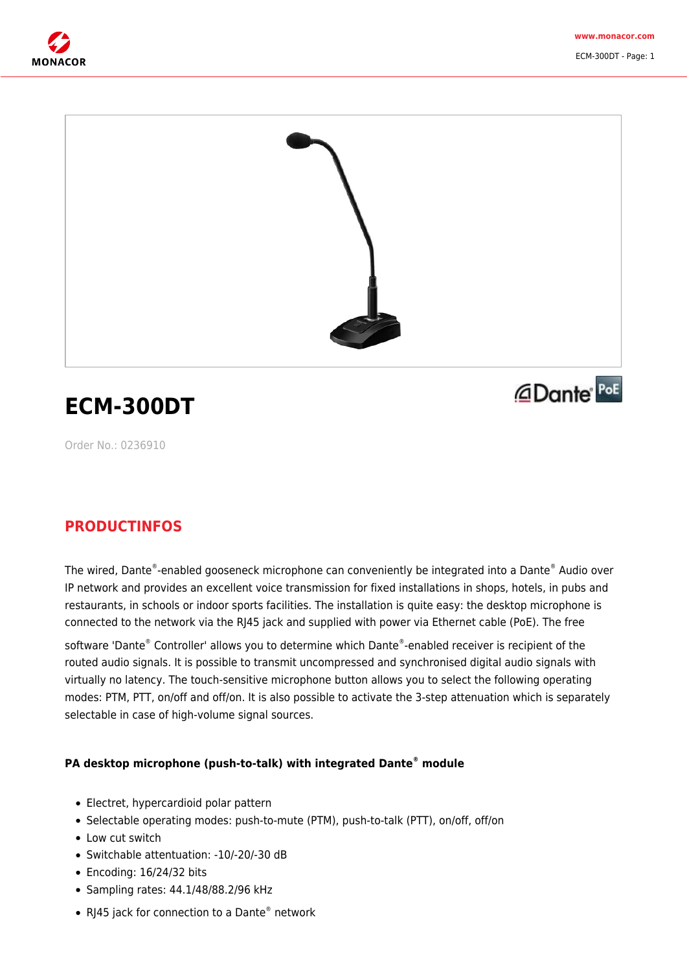



## **ECM-300DT**



Order No.: 0236910

## **PRODUCTINFOS**

The wired, Dante®-enabled gooseneck microphone can conveniently be integrated into a Dante® Audio over IP network and provides an excellent voice transmission for fixed installations in shops, hotels, in pubs and restaurants, in schools or indoor sports facilities. The installation is quite easy: the desktop microphone is connected to the network via the RJ45 jack and supplied with power via Ethernet cable (PoE). The free

software 'Dante® Controller' allows you to determine which Dante®-enabled receiver is recipient of the routed audio signals. It is possible to transmit uncompressed and synchronised digital audio signals with virtually no latency. The touch-sensitive microphone button allows you to select the following operating modes: PTM, PTT, on/off and off/on. It is also possible to activate the 3-step attenuation which is separately selectable in case of high-volume signal sources.

## **PA desktop microphone (push-to-talk) with integrated Dante® module**

- Electret, hypercardioid polar pattern
- Selectable operating modes: push-to-mute (PTM), push-to-talk (PTT), on/off, off/on
- Low cut switch
- Switchable attentuation: -10/-20/-30 dB
- Encoding: 16/24/32 bits
- Sampling rates: 44.1/48/88.2/96 kHz
- RJ45 jack for connection to a Dante® network